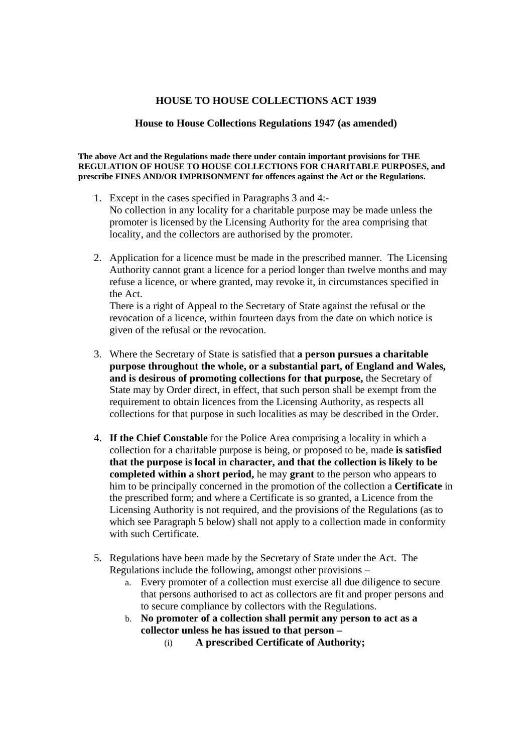## **HOUSE TO HOUSE COLLECTIONS ACT 1939**

## **House to House Collections Regulations 1947 (as amended)**

## **The above Act and the Regulations made there under contain important provisions for THE REGULATION OF HOUSE TO HOUSE COLLECTIONS FOR CHARITABLE PURPOSES, and prescribe FINES AND/OR IMPRISONMENT for offences against the Act or the Regulations.**

- 1. Except in the cases specified in Paragraphs 3 and 4:- No collection in any locality for a charitable purpose may be made unless the promoter is licensed by the Licensing Authority for the area comprising that locality, and the collectors are authorised by the promoter.
- 2. Application for a licence must be made in the prescribed manner. The Licensing Authority cannot grant a licence for a period longer than twelve months and may refuse a licence, or where granted, may revoke it, in circumstances specified in the Act.

There is a right of Appeal to the Secretary of State against the refusal or the revocation of a licence, within fourteen days from the date on which notice is given of the refusal or the revocation.

- 3. Where the Secretary of State is satisfied that **a person pursues a charitable purpose throughout the whole, or a substantial part, of England and Wales, and is desirous of promoting collections for that purpose,** the Secretary of State may by Order direct, in effect, that such person shall be exempt from the requirement to obtain licences from the Licensing Authority, as respects all collections for that purpose in such localities as may be described in the Order.
- 4. **If the Chief Constable** for the Police Area comprising a locality in which a collection for a charitable purpose is being, or proposed to be, made **is satisfied that the purpose is local in character, and that the collection is likely to be completed within a short period,** he may **grant** to the person who appears to him to be principally concerned in the promotion of the collection a **Certificate** in the prescribed form; and where a Certificate is so granted, a Licence from the Licensing Authority is not required, and the provisions of the Regulations (as to which see Paragraph 5 below) shall not apply to a collection made in conformity with such Certificate.
- 5. Regulations have been made by the Secretary of State under the Act. The Regulations include the following, amongst other provisions –
	- a. Every promoter of a collection must exercise all due diligence to secure that persons authorised to act as collectors are fit and proper persons and to secure compliance by collectors with the Regulations.
	- b. **No promoter of a collection shall permit any person to act as a collector unless he has issued to that person –**
		- (i) **A prescribed Certificate of Authority;**